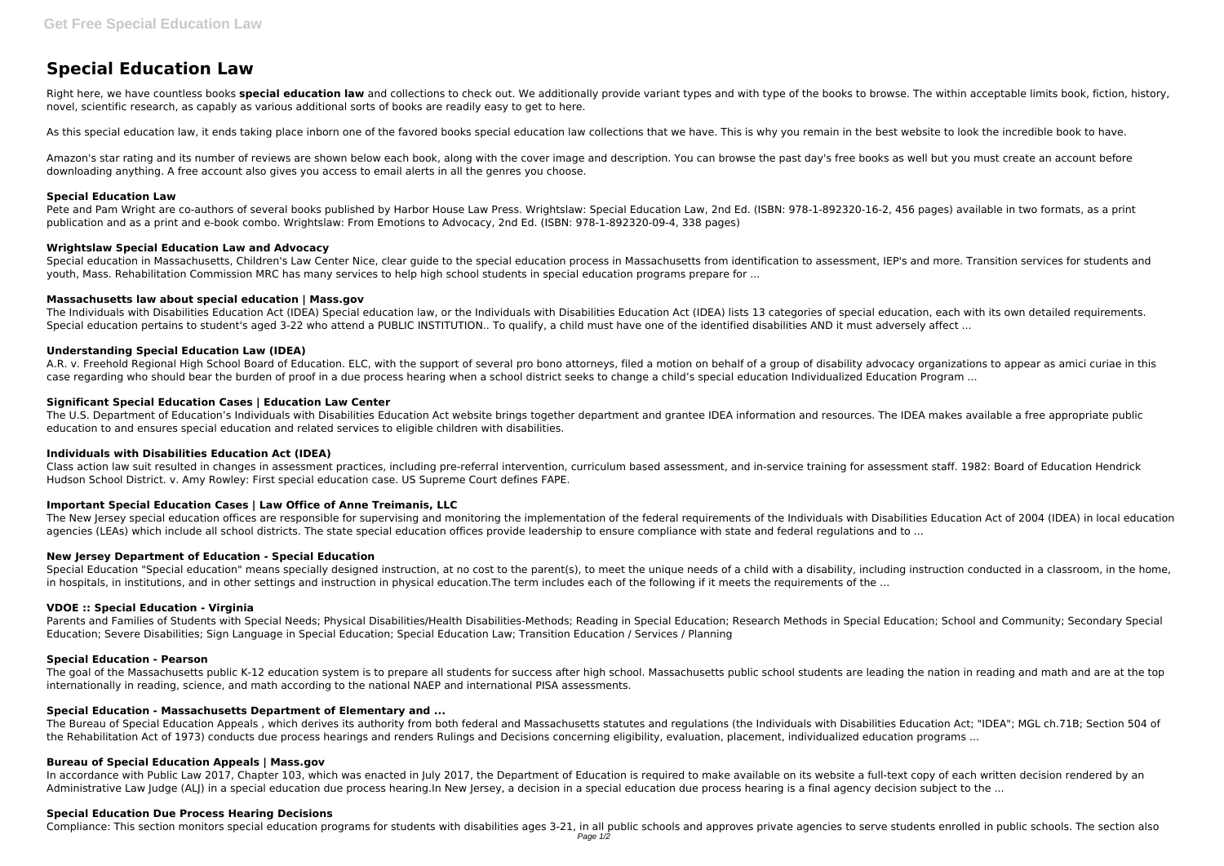# **Special Education Law**

Right here, we have countless books **special education law** and collections to check out. We additionally provide variant types and with type of the books to browse. The within acceptable limits book, fiction, history, novel, scientific research, as capably as various additional sorts of books are readily easy to get to here.

As this special education law, it ends taking place inborn one of the favored books special education law collections that we have. This is why you remain in the best website to look the incredible book to have.

Pete and Pam Wright are co-authors of several books published by Harbor House Law Press. Wrightslaw: Special Education Law, 2nd Ed. (ISBN: 978-1-892320-16-2, 456 pages) available in two formats, as a print publication and as a print and e-book combo. Wrightslaw: From Emotions to Advocacy, 2nd Ed. (ISBN: 978-1-892320-09-4, 338 pages)

Amazon's star rating and its number of reviews are shown below each book, along with the cover image and description. You can browse the past day's free books as well but you must create an account before downloading anything. A free account also gives you access to email alerts in all the genres you choose.

Special education in Massachusetts, Children's Law Center Nice, clear guide to the special education process in Massachusetts from identification to assessment, IEP's and more. Transition services for students and youth, Mass. Rehabilitation Commission MRC has many services to help high school students in special education programs prepare for ...

The Individuals with Disabilities Education Act (IDEA) Special education law, or the Individuals with Disabilities Education Act (IDEA) lists 13 categories of special education, each with its own detailed requirements. Special education pertains to student's aged 3-22 who attend a PUBLIC INSTITUTION.. To qualify, a child must have one of the identified disabilities AND it must adversely affect ...

## **Special Education Law**

A.R. v. Freehold Regional High School Board of Education. ELC, with the support of several pro bono attorneys, filed a motion on behalf of a group of disability advocacy organizations to appear as amici curiae in this case regarding who should bear the burden of proof in a due process hearing when a school district seeks to change a child's special education Individualized Education Program ...

## **Wrightslaw Special Education Law and Advocacy**

## **Massachusetts law about special education | Mass.gov**

## **Understanding Special Education Law (IDEA)**

The goal of the Massachusetts public K-12 education system is to prepare all students for success after high school. Massachusetts public school students are leading the nation in reading and math and are at the top internationally in reading, science, and math according to the national NAEP and international PISA assessments.

## **Significant Special Education Cases | Education Law Center**

The U.S. Department of Education's Individuals with Disabilities Education Act website brings together department and grantee IDEA information and resources. The IDEA makes available a free appropriate public education to and ensures special education and related services to eligible children with disabilities.

# **Individuals with Disabilities Education Act (IDEA)**

Class action law suit resulted in changes in assessment practices, including pre-referral intervention, curriculum based assessment, and in-service training for assessment staff. 1982: Board of Education Hendrick Hudson School District. v. Amy Rowley: First special education case. US Supreme Court defines FAPE.

# **Important Special Education Cases | Law Office of Anne Treimanis, LLC**

The New Jersey special education offices are responsible for supervising and monitoring the implementation of the federal requirements of the Individuals with Disabilities Education Act of 2004 (IDEA) in local education agencies (LEAs) which include all school districts. The state special education offices provide leadership to ensure compliance with state and federal regulations and to ...

# **New Jersey Department of Education - Special Education**

Special Education "Special education" means specially designed instruction, at no cost to the parent(s), to meet the unique needs of a child with a disability, including instruction conducted in a classroom, in the home, in hospitals, in institutions, and in other settings and instruction in physical education. The term includes each of the following if it meets the requirements of the ...

## **VDOE :: Special Education - Virginia**

Parents and Families of Students with Special Needs; Physical Disabilities/Health Disabilities-Methods; Reading in Special Education; Research Methods in Special Education; School and Community; Secondary Special Education; Severe Disabilities; Sign Language in Special Education; Special Education Law; Transition Education / Services / Planning

# **Special Education - Pearson**

# **Special Education - Massachusetts Department of Elementary and ...**

The Bureau of Special Education Appeals , which derives its authority from both federal and Massachusetts statutes and regulations (the Individuals with Disabilities Education Act; "IDEA"; MGL ch.71B; Section 504 of the Rehabilitation Act of 1973) conducts due process hearings and renders Rulings and Decisions concerning eligibility, evaluation, placement, individualized education programs ...

## **Bureau of Special Education Appeals | Mass.gov**

In accordance with Public Law 2017, Chapter 103, which was enacted in July 2017, the Department of Education is required to make available on its website a full-text copy of each written decision rendered by an Administrative Law Judge (ALJ) in a special education due process hearing.In New Jersey, a decision in a special education due process hearing is a final agency decision subject to the ...

## **Special Education Due Process Hearing Decisions**

Compliance: This section monitors special education programs for students with disabilities ages 3-21, in all public schools and approves private agencies to serve students enrolled in public schools. The section also